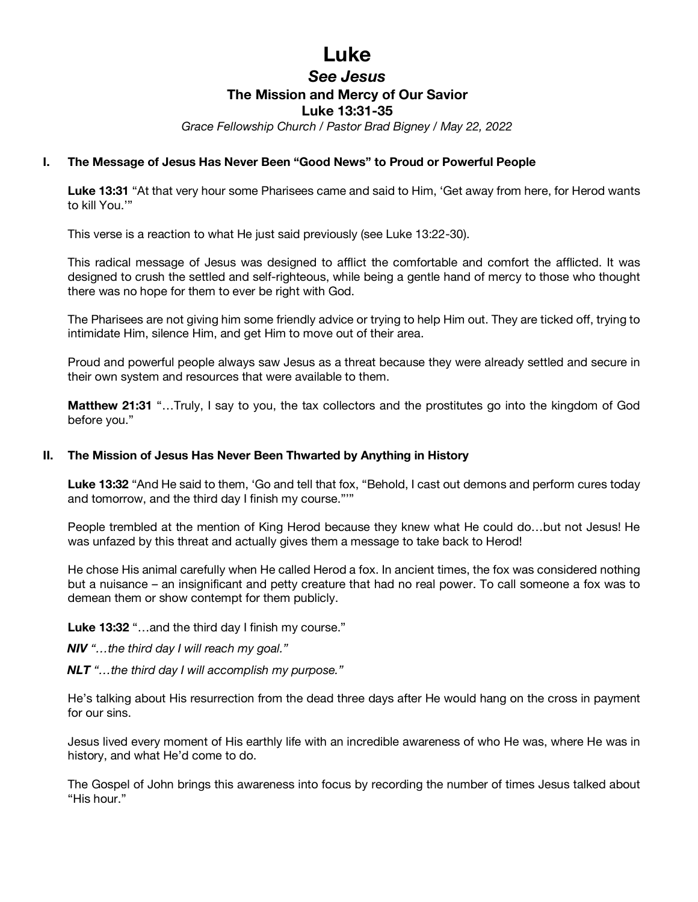# **Luke**

# *See Jesus* **The Mission and Mercy of Our Savior Luke 13:31-35**

*Grace Fellowship Church / Pastor Brad Bigney / May 22, 2022*

## **I. The Message of Jesus Has Never Been "Good News" to Proud or Powerful People**

**Luke 13:31** "At that very hour some Pharisees came and said to Him, 'Get away from here, for Herod wants to kill You.'"

This verse is a reaction to what He just said previously (see Luke 13:22-30).

This radical message of Jesus was designed to afflict the comfortable and comfort the afflicted. It was designed to crush the settled and self-righteous, while being a gentle hand of mercy to those who thought there was no hope for them to ever be right with God.

The Pharisees are not giving him some friendly advice or trying to help Him out. They are ticked off, trying to intimidate Him, silence Him, and get Him to move out of their area.

Proud and powerful people always saw Jesus as a threat because they were already settled and secure in their own system and resources that were available to them.

**Matthew 21:31** "…Truly, I say to you, the tax collectors and the prostitutes go into the kingdom of God before you."

## **II. The Mission of Jesus Has Never Been Thwarted by Anything in History**

**Luke 13:32** "And He said to them, 'Go and tell that fox, "Behold, I cast out demons and perform cures today and tomorrow, and the third day I finish my course."'"

People trembled at the mention of King Herod because they knew what He could do…but not Jesus! He was unfazed by this threat and actually gives them a message to take back to Herod!

He chose His animal carefully when He called Herod a fox. In ancient times, the fox was considered nothing but a nuisance – an insignificant and petty creature that had no real power. To call someone a fox was to demean them or show contempt for them publicly.

**Luke 13:32** "…and the third day I finish my course."

*NIV "…the third day I will reach my goal."*

*NLT "…the third day I will accomplish my purpose."*

He's talking about His resurrection from the dead three days after He would hang on the cross in payment for our sins.

Jesus lived every moment of His earthly life with an incredible awareness of who He was, where He was in history, and what He'd come to do.

The Gospel of John brings this awareness into focus by recording the number of times Jesus talked about "His hour."